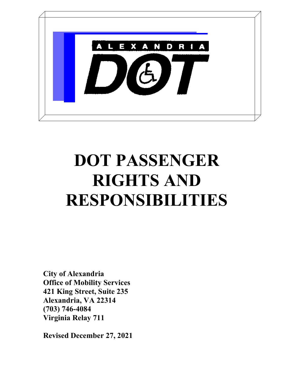

# DOT PASSENGER RIGHTS AND RESPONSIBILITIES

City of Alexandria Office of Mobility Services 421 King Street, Suite 235 Alexandria, VA 22314 (703) 746-4084 Virginia Relay 711

Revised December 27, 2021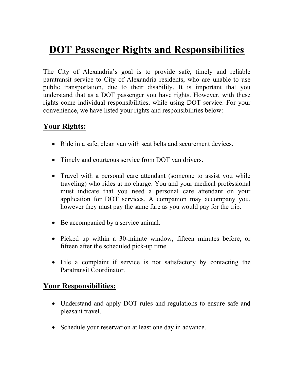## DOT Passenger Rights and Responsibilities

The City of Alexandria's goal is to provide safe, timely and reliable paratransit service to City of Alexandria residents, who are unable to use public transportation, due to their disability. It is important that you understand that as a DOT passenger you have rights. However, with these rights come individual responsibilities, while using DOT service. For your convenience, we have listed your rights and responsibilities below:

#### Your Rights:

- Ride in a safe, clean van with seat belts and securement devices.
- Timely and courteous service from DOT van drivers.
- Travel with a personal care attendant (someone to assist you while traveling) who rides at no charge. You and your medical professional must indicate that you need a personal care attendant on your application for DOT services. A companion may accompany you, however they must pay the same fare as you would pay for the trip.
- Be accompanied by a service animal.
- Picked up within a 30-minute window, fifteen minutes before, or fifteen after the scheduled pick-up time.
- File a complaint if service is not satisfactory by contacting the Paratransit Coordinator.

#### Your Responsibilities:

- Understand and apply DOT rules and regulations to ensure safe and pleasant travel.
- Schedule your reservation at least one day in advance.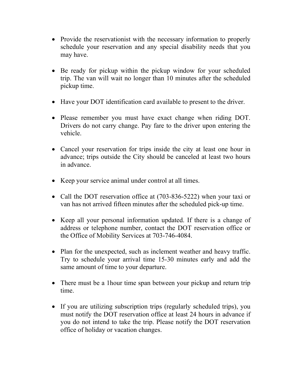- Provide the reservationist with the necessary information to properly schedule your reservation and any special disability needs that you may have.
- Be ready for pickup within the pickup window for your scheduled trip. The van will wait no longer than 10 minutes after the scheduled pickup time.
- Have your DOT identification card available to present to the driver.
- Please remember you must have exact change when riding DOT. Drivers do not carry change. Pay fare to the driver upon entering the vehicle.
- Cancel your reservation for trips inside the city at least one hour in advance; trips outside the City should be canceled at least two hours in advance.
- Keep your service animal under control at all times.
- Call the DOT reservation office at (703-836-5222) when your taxi or van has not arrived fifteen minutes after the scheduled pick-up time.
- Keep all your personal information updated. If there is a change of address or telephone number, contact the DOT reservation office or the Office of Mobility Services at 703-746-4084.
- Plan for the unexpected, such as inclement weather and heavy traffic. Try to schedule your arrival time 15-30 minutes early and add the same amount of time to your departure.
- There must be a 1 hour time span between your pickup and return trip time.
- If you are utilizing subscription trips (regularly scheduled trips), you must notify the DOT reservation office at least 24 hours in advance if you do not intend to take the trip. Please notify the DOT reservation office of holiday or vacation changes.